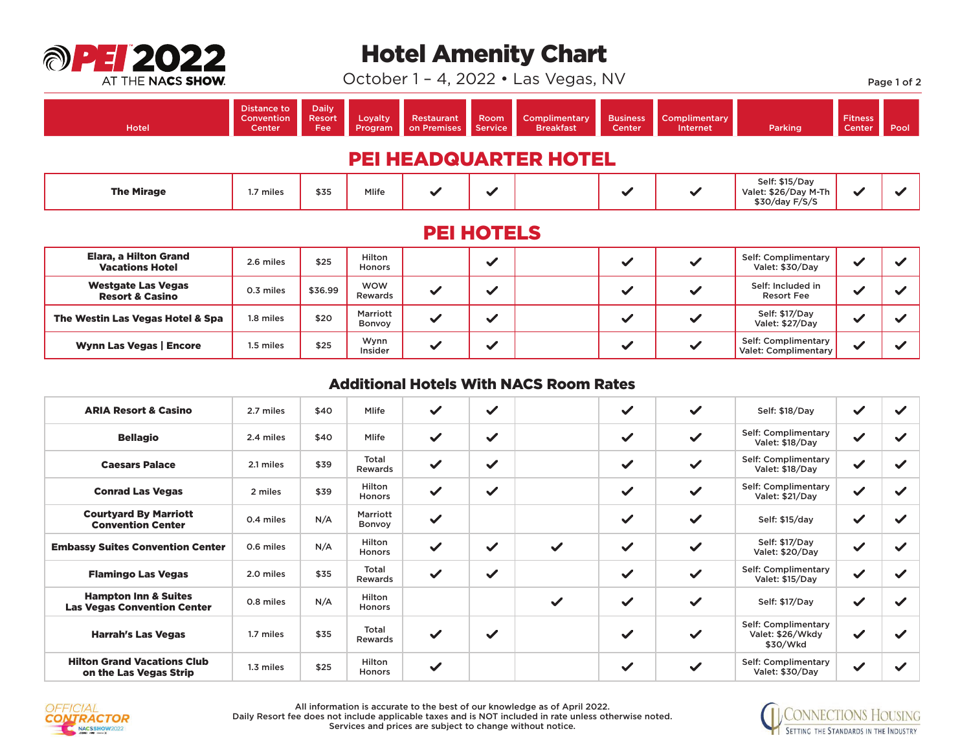

## Hotel Amenity Chart

October 1 – 4, 2022 • Las Vegas, NV Page 1 of 2

| <b>Hotel</b>                 | Distance to<br>Convention<br>Center | <b>Daily</b><br>Resort<br><b>Fee</b> | Loyalty<br>Program | Restaurant<br>on Premises | Room<br>Service          | Complimentary<br><b>Breakfast</b> | <b>Business</b><br><b>Center</b> | <b>Complimentary</b><br>Internet | Parking                                                  | <b>Fitness</b><br>Center | Pool |
|------------------------------|-------------------------------------|--------------------------------------|--------------------|---------------------------|--------------------------|-----------------------------------|----------------------------------|----------------------------------|----------------------------------------------------------|--------------------------|------|
| <b>PEI HEADQUARTER HOTEL</b> |                                     |                                      |                    |                           |                          |                                   |                                  |                                  |                                                          |                          |      |
| <b>The Mirage</b>            | 1.7 miles                           | \$35                                 | <b>Mlife</b>       | $\checkmark$              | $\overline{\phantom{a}}$ |                                   | $\overline{\phantom{a}}$         |                                  | Self: \$15/Day<br>Valet: \$26/Day M-Th<br>\$30/day F/S/S | w                        |      |

## PEI HOTELS

| Elara, a Hilton Grand<br><b>Vacations Hotel</b>         | 2.6 miles        | \$25    | Hilton<br>Honors      |  |  | Self: Complimentary<br>Valet: \$30/Day      |                          |  |
|---------------------------------------------------------|------------------|---------|-----------------------|--|--|---------------------------------------------|--------------------------|--|
| <b>Westgate Las Vegas</b><br><b>Resort &amp; Casino</b> | 0.3 miles        | \$36.99 | <b>WOW</b><br>Rewards |  |  | Self: Included in<br><b>Resort Fee</b>      |                          |  |
| The Westin Las Vegas Hotel & Spa                        | 1.8 miles        | \$20    | Marriott<br>Bonvov    |  |  | Self: \$17/Day<br>Valet: \$27/Day           |                          |  |
| <b>Wynn Las Vegas   Encore</b>                          | <b>I.5 miles</b> | \$25    | Wynn<br>Insider       |  |  | Self: Complimentary<br>Valet: Complimentary | $\overline{\phantom{a}}$ |  |

## Additional Hotels With NACS Room Rates

| <b>ARIA Resort &amp; Casino</b>                                       | 2.7 miles | \$40 | Mlife                   | $\checkmark$ | $\checkmark$ |              | $\checkmark$ | $\checkmark$ | Self: \$18/Day                                      | $\checkmark$ |              |
|-----------------------------------------------------------------------|-----------|------|-------------------------|--------------|--------------|--------------|--------------|--------------|-----------------------------------------------------|--------------|--------------|
| <b>Bellagio</b>                                                       | 2.4 miles | \$40 | Mlife                   | $\checkmark$ | $\checkmark$ |              | $\checkmark$ | $\checkmark$ | Self: Complimentary<br>Valet: \$18/Day              | $\checkmark$ | $\checkmark$ |
| <b>Caesars Palace</b>                                                 | 2.1 miles | \$39 | Total<br>Rewards        | $\checkmark$ | $\checkmark$ |              | $\checkmark$ | $\checkmark$ | Self: Complimentary<br>Valet: \$18/Day              | $\checkmark$ | ✓            |
| <b>Conrad Las Vegas</b>                                               | 2 miles   | \$39 | Hilton<br><b>Honors</b> | $\checkmark$ | $\checkmark$ |              | $\checkmark$ | $\checkmark$ | Self: Complimentary<br>Valet: \$21/Day              | $\checkmark$ | ✓            |
| <b>Courtyard By Marriott</b><br><b>Convention Center</b>              | 0.4 miles | N/A  | Marriott<br>Bonvoy      | $\checkmark$ |              |              | $\checkmark$ | $\checkmark$ | Self: \$15/day                                      | $\checkmark$ | ✓            |
| <b>Embassy Suites Convention Center</b>                               | 0.6 miles | N/A  | Hilton<br>Honors        | $\checkmark$ | $\checkmark$ | $\checkmark$ | $\checkmark$ | $\checkmark$ | Self: \$17/Day<br>Valet: \$20/Day                   | $\checkmark$ | ✓            |
| <b>Flamingo Las Vegas</b>                                             | 2.0 miles | \$35 | Total<br>Rewards        | $\checkmark$ | $\checkmark$ |              | $\checkmark$ | $\checkmark$ | Self: Complimentary<br>Valet: \$15/Day              | $\checkmark$ | $\checkmark$ |
| <b>Hampton Inn &amp; Suites</b><br><b>Las Vegas Convention Center</b> | 0.8 miles | N/A  | Hilton<br>Honors        |              |              | $\checkmark$ | $\checkmark$ | $\checkmark$ | Self: \$17/Day                                      | $\checkmark$ | $\checkmark$ |
| <b>Harrah's Las Vegas</b>                                             | 1.7 miles | \$35 | Total<br>Rewards        | $\checkmark$ | $\checkmark$ |              | $\checkmark$ | $\checkmark$ | Self: Complimentary<br>Valet: \$26/Wkdy<br>\$30/Wkd | $\checkmark$ | ✓            |
| <b>Hilton Grand Vacations Club</b><br>on the Las Vegas Strip          | 1.3 miles | \$25 | Hilton<br>Honors        | $\checkmark$ |              |              | $\checkmark$ | $\checkmark$ | Self: Complimentary<br>Valet: \$30/Day              | $\checkmark$ |              |



All information is accurate to the best of our knowledge as of April 2022. All information is accurate to the best of our knowledge as of April 2022.<br>Daily Resort fee does not include applicable taxes and is NOT included in rate unless otherwise noted. Services and prices are subject to change without notice.